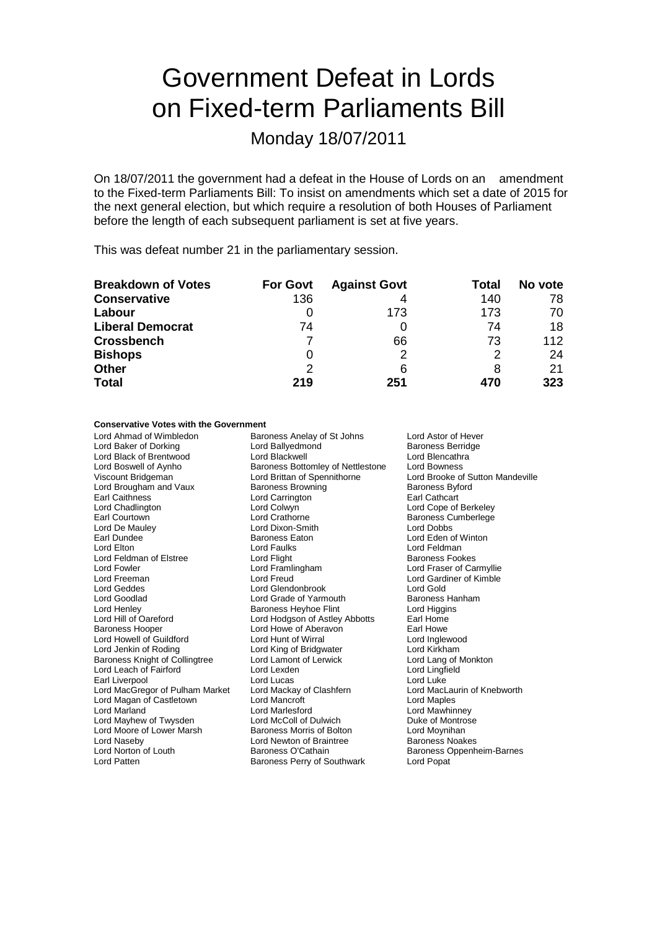# Government Defeat in Lords on Fixed-term Parliaments Bill

Monday 18/07/2011

On 18/07/2011 the government had a defeat in the House of Lords on an amendment to the Fixed-term Parliaments Bill: To insist on amendments which set a date of 2015 for the next general election, but which require a resolution of both Houses of Parliament before the length of each subsequent parliament is set at five years.

This was defeat number 21 in the parliamentary session.

| <b>Breakdown of Votes</b> | <b>For Govt</b> | <b>Against Govt</b> | Total | No vote |
|---------------------------|-----------------|---------------------|-------|---------|
| <b>Conservative</b>       | 136             | 4                   | 140   | 78      |
| Labour                    |                 | 173                 | 173   | 70      |
| <b>Liberal Democrat</b>   | 74              |                     | 74    | 18      |
| <b>Crossbench</b>         |                 | 66                  | 73    | 112     |
| <b>Bishops</b>            |                 | າ                   | 2     | 24      |
| <b>Other</b>              | 2               | 6                   | 8     | 21      |
| <b>Total</b>              | 219             | 251                 | 470   | 323     |

### **Conservative Votes with the Government**

Lord Ahmad of Wimbledon **Baroness Anelay of St Johns** Lord Astor of Hever<br>
Lord Baker of Dorking Lord Ballvedmond **Baroness Berridge** Lord Baker of Dorking **Lord Ballyedmond Ballyedmond Baroness** Lord Ballyedmond Backwell Lord Black of Brentwood Lord Blackwell Lord Blencathra Lord Boswell of Aynho **Baroness Bottomley of Nettlestone** Lord Bowness<br>
Viscount Bridgeman **Brittan of Spennithorne** Lord Brooke of Lord Brougham and Vaux Earl Caithness **Earl Cathcart**<br>
Lord Chadlington **Earl Cathcart**<br>
Lord Colwyn **Earl Cathcart** Lord Chadlington **Lord Colwyn**<br>
Lord Courtown **Lord Collect Lord Collect Collect Lord Collect Collect Collect Lord Collect Collect Baroness Cumberleae** Earl Courtown **Earl Courtown** Lord Crathorne **Baroness Cumberlege**<br>
Lord De Maulev **Lord Dixon-Smith** Lord Dobbs Earl Dundee The State Baroness Eaton Corresponding the Lord Eden of Winton Lord Eden of Winton Lord Eden of Winton Lord Feldman of Elstree Lord Flight Baroness Fookes Lord Fowler Lord Framlingham Lord Fraser of Carmyllie Lord Freeman Lord Freud Lord Freud Lord Cord Gardiner of Kimble<br>
Lord Geddes Lord Glendonbrook Lord Cord Gold Lord Geddes Lord Glendonbrook<br>
Lord Goodlad Lord Grade of Yarm Lord Henley Baroness Heyhoe Flint Lord Higgins Lord Hill of Oareford Lord Hodgson of Astley Abbotts Earl Home Lord Howell of Guildford Lord Hunt of Wirral Lord Inglewood Lord Jenkin of Roding<br>
Lord Jenkin of Roding Lord Lord Lamont of Lerwick<br>
Lord Lang of Monkton<br>
Lord Lang of Monkton Baroness Knight of Collingtree Lord Lamont of Lerwick Lord Lang of Nord Lang of Nord Lingfield<br>
Lord Lexden Cord Lord Lord Lord Lord Lord Lingfield Lord Leach of Fairford Earl Liverpool **Lord Lucas** Lord Lucas **Lord Luke** Lord MacGregor of Pulham Market Lord Mackay of Clashfern Lord MacLaurin of Knebworth Lord Magan of Castletown Lord Marland Lord Marlesford Lord Mawhinney Lord Mayhew of Twysden Lord McColl of Dulwich Duke of Montrose<br>
Lord Moore of Lower Marsh Baroness Morris of Bolton Lord Moynihan Lord Moore of Lower Marsh **Baroness Morris of Bolton** Lord Moynihan<br>
Lord Naseby **Baroness Noakes**<br>
Lord Newton of Braintree **Baroness Noakes** Lord Norton of Louth Baroness O'Cathain Baroness Oppenheim-Barnes

**Lord Brittan of Spennithorne** Lord Brooke of Sutton Mandeville<br>
Baroness Browning Baroness Byford Lord Dixon-Smith Lord Faulks **Lord Feldman** Lord Grade of Yarmouth Baroness Hanham Lord Howe of Aberavon Lord Newton of Braintree Lord Patten **Baroness Perry of Southwark** Lord Popat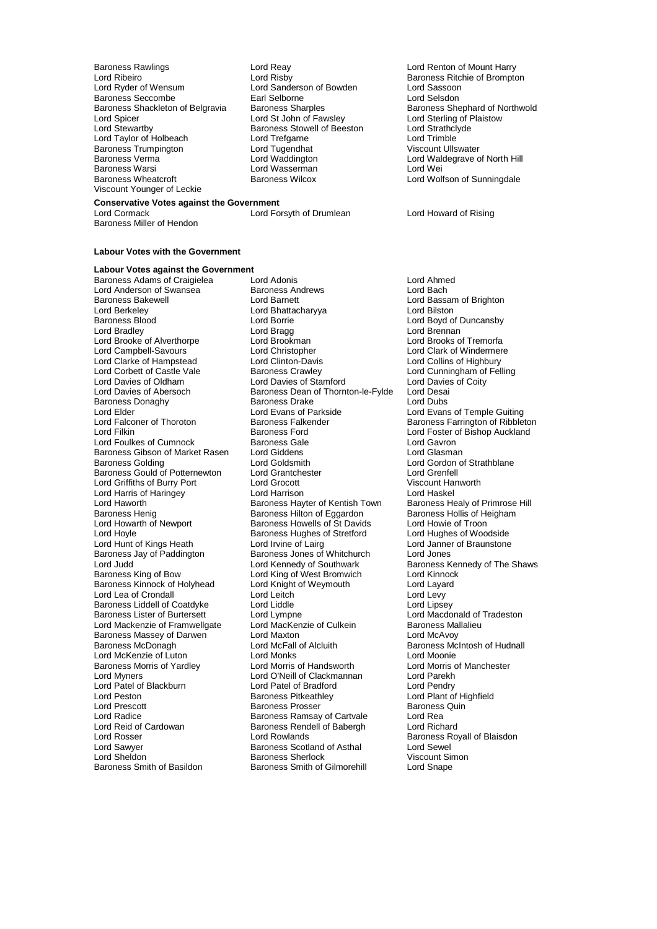- Baroness Rawlings **Example 2 Example 2 Lord Reay Lord Reast Act 2 Lord Renton of Mount Harry**<br>
Lord Ribeiro **Communication Control Control Control Control Control Control Control Control Control Control Control Control C** Lord Ribeiro **Lord Risby** Lord Risby Baroness Ritchie of Brompton<br>
Lord Ryder of Wensum Lord Sanderson of Bowden Lord Sassoon Baroness Seccombe **Earl Selborne** Earl Selborne Lord Selsdon<br>Baroness Shackleton of Belgravia Baroness Sharples **Baroness Shephard of Northwold** Baroness Shackleton of Belgravia Baroness Sharples Baroness Shephard of N<br>
Lord St John of Fawsley Baroness Shephard of Plaistow Lord Spicer Lord St John of Fawsley Lord Sterling of Fawsley<br>
Lord Stewartby Baroness Stowell of Beeston Lord Strathclyde Lord Taylor of Holbeach Lord Trefgarne Lord Trefgarne Lord Trefgarne Lord Trefgarne Lord Trefgarne Lord Trefgarne Lord Trefgarne Lord Trefgarne Lord Trefgarne Lord Trefgarne Lord Trefgarne Lord Trefgarne Lord Trefgarne Lor Baroness Trumpington **Lord Tugendhat** Communist Consumer Viscount Ullswater Viscount Ullswater Baroness Verma Baroness Verma **Example 2** Lord Waddington **Lord Waldegrave of North Hill**<br>Baroness Warsi **Lord Wasserman** Lord Wasserman Lord Wei Baroness Warsi Lord Wasserman Lord Wei Viscount Younger of Leckie
	- Lord Sanderson of Bowden Baroness Stowell of Beeston
- **Conservative Votes against the Government**

Baroness Miller of Hendon

#### **Labour Votes with the Government**

# **Labour Votes against the Government**

Lord Berkeley **Lord Bhattacharyya**<br> **Raroness Blood Lord Borrie** Lord Brooke of Alverthorpe Lord Brookman<br>
Lord Campbell-Savours Lord Christopher Lord Clarke of Hampstead Lord Clinton-Davis<br>
Lord Corbett of Castle Vale Baroness Crawley Baroness Gibson of Market Rasen Lord Giddens<br>Baroness Golding Lord Goldsmith Baroness Jay of Paddington Baroness Jones of Whitchurch<br>Lord Judd Lord Kennedy of Southwark Baroness Massey of Darwen Lord Maxton<br>
Baroness McDonagh Lord McFall of Alcluith Lord Patel of Blackburn Lord Patel of Bradford<br>
Lord Peston Blackburn Baroness Pitkeathlev Lord Reid of Cardowan Baroness Rendell of Babergh<br>
Lord Rosser Lord Rowlands Lord Sawyer **Baroness Scotland of Asthal Lord Sheldon**<br> **Baroness Sherlock** 

Baroness Adams of Craigielea Lord Adonis Lord Ahmed Lord Anderson of Swansea **Baroness Andrews** Lord Bach<br>
Baroness Bakewell **Bach Lord Baronet Lord Bach Cord Bass** Baroness Bakewell **Example 2 Example 2 Lord Baroness Bakewell**<br>
Lord Barkelev<br>
Lord Batkelev **Lord Bakeward Lord Bassam of Brighton**<br>
Lord Bakewell Baroness Blood **Exercise Lord Borrie Lord Borrie Constant Lord Boyd of Duncansby**<br>
Lord Boyd of Duncansby<br>
Lord Bragg Lord Brennan Lord Bragg **Lord Brennan**<br>
Lord Brookman **Lord Brooks** of Tremorfa Lord Christopher Lord Clark of Windermere<br>
Lord Clinton-Davis Lord Collins of Highbury Lord Corbett of Castle Vale Baroness Crawley Baroness Crames Crames Crames Crames Crames Lord Cunningham of Felling<br>
Lord Davies of Oldham Lord Davies of Stamford Lord Davies of Coity Lord Davies of Oldham Lord Davies of Stamford Lord Davies Lord Davies Coity<br>
Lord Davies of Abersoch Baroness Dean of Thornton-le-Fylde Lord Desai Baroness Dean of Thornton-le-Fylde Baroness Donaghy **Baroness Drake** Lord Dubs<br>
Lord Elder Lord Evans of Parkside Lord Evans Lord Elder The Coron Coronal Lord Evans of Parkside Lord Evans of Temple Guiting<br>Lord Falconer of Thoroton Baroness Falkender The Baroness Farrington of Ribblet Lord Falconer of Thoroton Baroness Falkender Baroness Farrington of Ribbleton<br>Lord Filshop Auckland Baroness Ford Baroness For Lord Foster of Bishop Auckland Baroness Ford **Exercise Exercise Server Container** Lord Foster of Bishop Auckland<br>Baroness Gale **Lord Gavron** Lord Foulkes of Cumnock and Baroness Gale Corresponding Lord Gavron<br>Baroness Gibson of Market Rasen Lord Giddens Corresponding Lord Glasman Lord Goldsmith Lord Gordon of Strathblane<br>
Lord Grantchester Lord Grenfell Baroness Gould of Potternewton Lord Grantchester Lord Grenfell Lord Griffiths of Burry Port Lord Grocott Christian Music Viscount Hanger Christian Music Lord Hanger Christian<br>
Lord Harris of Haringev Lord Harrison Lord Christian Lord Haskel Lord Harris of Haringey **Lord Harrison** Lord Haskel<br>Lord Haworth **Lord Harrison** Baroness Hayter of Kentish Town Baroness Healy of Primrose Hill Lord Haworth **Baroness Hayter of Kentish Town** Baroness Healy of Primrose<br>Baroness Henig **Baroness Hille Baroness Hillich of Eggardon** Baroness Hollis of Heigham Baroness Henig Baroness Hilton of Eggardon Baroness Hollis of He<br>
Lord Howarth of Newport Baroness Howells of St Davids Lord Howie of Troon Baroness Howells of St Davids<br>
Baroness Hughes of Stretford

Lord Hughes of Woodside Lord Hoyle **Baroness Hughes of Stretford** Lord Hughes of Woodside<br>
Lord Hunt of Kings Heath **Lord Lord Lord Larg** Lord Janner of Braunstone Lord Hunt of Kings Heath Lord Irvine of Lairg Lord Janne<br>Baroness Jay of Paddington Baroness Jones of Whitchurch Lord Jones Lord Judd **Lord Kennedy of Southwark** Baroness Kennedy of The Shaws<br>Baroness King of Bow **Lord King of West Bromwich** Lord Kinnock **Baroness King of West Bromwich Lord Kinnock**<br>
Lord Knight of Weymouth Lord Layard Baroness Kinnock of Holyhead Lord Knight of Weymouth Lord Layard Lord Layard Lord Levy<br>
Lord Lea of Crondall Lord Lettch Lord Lettch Lord Lea of Crondall interventional Lord Leitch interventional Lord Levy<br>Baroness Liddell of Coatdyke Lord Liddle Lord Lord Lord Linsey Baroness Liddell of Coatdyke Lord Liddle Lord Liddle Lord Lipsey<br>
Baroness Lister of Burtersett Lord Lord Lormone Lord Macdonald of Tradeston Baroness Lister of Burtersett Lord Lympne<br>
Lord Machanics Lord Machanics Lord MacKenzie of Culkein Baroness Mallalieu Lord Mackenzie of Framwellgate Lord MacKenzie of Culkein Baroness Ma<br>Baroness Massey of Darwen Lord Maxton Lord Maxton Lord McKenzie of Luton **Lord Monks** Lord Monts Lord Moonie<br> **Baroness Morris of Yardley** Lord Morris of Handsworth Lord Morris of Manchester Baroness Morris of Yardley **Lord Morris of Handsworth Lord Morris of Analysis** Cord Morris Cord Cord Cord Cord C<br>Lord Morris Lord Morris Lord O'Neill of Clackmannan Lord Parekh Lord O'Neill of Clackmannan Lord Parekh<br>
Lord Patel of Bradford Lord Pendry Lord Peston **Example 2** Exercise Baroness Pitkeathley **Lord Plant of Highfield**<br>Lord Prescott **Lord Plant Conducts** Baroness Prosser **Baroness Quin** Lord Prescott **Baroness Prosser** Baroness Prosser Baroness<br>
Lord Radice Baroness Ramsay of Cartyale Lord Rea Lord Radice **Carty Communist Communist Baroness Ramsay of Cartvale** Lord Rea<br>
Lord Reid of Cardowan **Baroness Rendell of Babergh** Lord Richard Lord Rosser **Lord Rowlands**<br>
Lord Sawver **Baroness Scotland of Asthal**<br>
Lord Sawver **Baroness Scotland of Asthal** Lord Sheldon **Baroness Sherlock** Viscount Simon<br>
Baroness Smith of Basildon Baroness Smith of Gilmorehill Lord Snape Baroness Smith of Gilmorehill

Lord Wolfson of Sunningdale

Lord Forsyth of Drumlean Lord Howard of Rising

Baroness McIntosh of Hudnall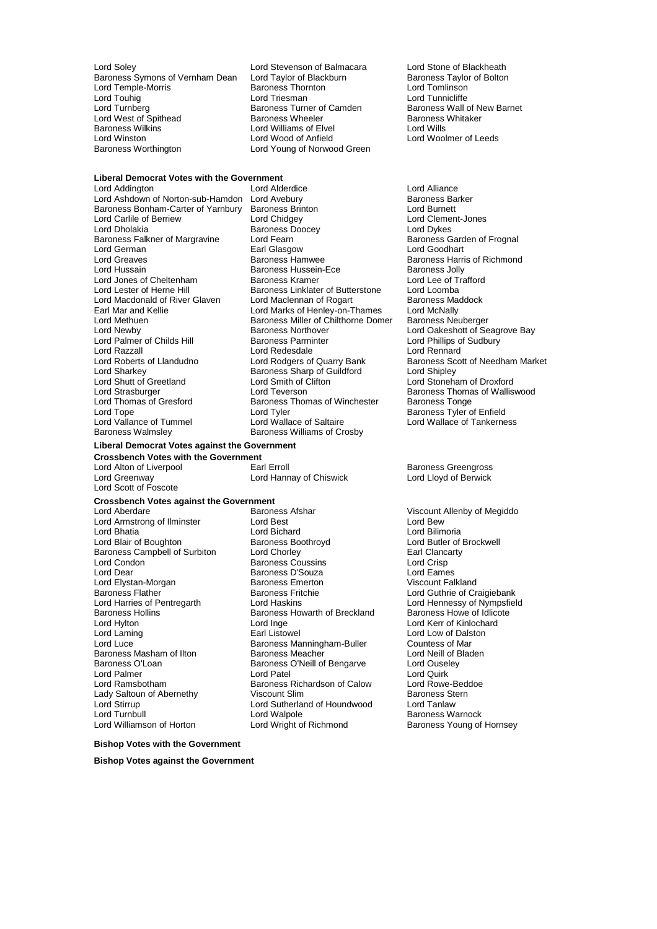Lord Soley **Lord Stevenson of Balmacara** Lord Stone of Blackheath<br>Baroness Symons of Vernham Dean Lord Taylor of Blackburn Baroness Taylor of Bolton Baroness Symons of Vernham Dean Lord Taylor of Blackburn Baroness Taylor of Blackburn Baroness Taylor of Blackburn Cord Tomlinson Lord Temple-Morris **Baroness Thornton** Lord Touhig Lord Triesman Lord Tunnicliffe Lord West of Spithead Baroness Wheeler Baroness<br>Baroness Wilkins Baroness Lord Williams of Elvel Baroness Wilkins Lord Winston Lord Wood of Anfield

# Exaroness Turner of Camden Baroness Wall of New Baroness Whitaker Lord Williams of Elvel Lord Wills<br>Lord Wood of Antield Lord Woolmer of Leeds Baroness Worthington **Lord Young of Norwood Green**

**Liberal Democrat Votes with the Government**

Lord Addington Lord Alderdice Lord Alliance Lord Ashdown of Norton-sub-Hamdon Lord Avebury **Barker Communist Barker Barchess Barker**<br>Baroness Bonham-Carter of Yarnbury Baroness Brinton **Barker Constant Constant Constant** Baroness Bonham-Carter of Yarnbury Lord German **Earl Glasgow**<br> **Earl Greaves**<br> **Early Baroness Hamwee** Lord Jones of Cheltenham<br>Lord Lester of Herne Hill Lord Razzall<br>
Lord Roberts of Llandudno<br>
Lord Rodgers of Quarry Bank Lord Sharkey **Baroness Sharp of Guildford**<br>
Lord Shutt of Greetland Lord Smith of Clifton

Lord Carlile of Berriew Lord Chidgey Lord Clement-Jones Baroness Doocey **Communist Constructs** Lord Dykes<br>Lord Fearn Lord Baroness Garden of Frognal Baroness Falkner of Margravine Lord Fearn Baroness Gard<br>
Baroness Gard<br>
Lord German Baroness Gard From Farl Glasgow Lord Greaves **Baroness Hamwee** Baroness Haman Baroness Harris of Richmond<br>
Baroness Hussein-Ece Baroness Jolly Baroness Hussein-Ece Baroness Jolly<br>
Baroness Kramer<br>
Lord Lee of Trafford Baroness Linklater of Butterstone Lord Loomba<br>
Lord Maclennan of Rogart Baroness Maddock Lord Macdonald of River Glaven Lord Maclennan of Rogart Baroness Ma<br>Earl Mar and Kellie **Cord Cord Macket Cord Marks** of Henley-on-Thames Lord McNally Earl Mar and Kellie **Lord Marks of Henley-on-Thames** Lord McNally<br>Lord Methuen **Lord Marks of Chilthorne Domer** Baroness Neuberger Lord Methuen Baroness Miller of Chilthorne Domer<br>
Lord Newby<br>
Baroness Northover Baroness Northover **Lord Oakeshott of Seagrove Bay**<br> **Baroness Parminter Lord Phillips of Sudbury** Lord Palmer of Childs Hill Baroness Parminter and Baroness Parminter Cord Phillips of Lord Phillips of Lord Renard Lord Roberts of Llandudno Lord Rodgers of Quarry Bank Baroness Scott of Needham Market<br>
Lord Sharkey Baroness Sharp of Guildford Lord Shipley Lord Shutt of Greetland Lord Smith of Clifton Lord Stoneham of Droxford Lord Strasburger Lord Teverson Baroness Thomas of Walliswood Baroness Thomas of Winchester Baroness Tonge Lord Tope Lord Tyler Cord Tyler Lord Tyler All aroness Tyler of Enfield<br>Lord Vallance of Tummel Lord Wallace of Saltaire Lord Wallace of Tankerne Baroness Walmsley **Baroness Williams of Crosby** 

## **Liberal Democrat Votes against the Government**

**Crossbench Votes with the Government** Lord Alton of Liverpool **Earl Erroll** Earl Erroll Baroness Greengross<br>
Lord Greenway **Earl Erroll** Baroness Core Lord Lloyd of Berwick Lord Scott of Foscote

# **Crossbench Votes against the Government**

Lord Armstrong of Ilminster Lord Elystan-Morgan Baroness Emerton Baroness Emerton Baroness Emerton Baroness Emerton Baroness Fritchie Lord Stirrup **Lord Sutherland of Houndwood** Lord Turnbull **Communist Communist Lord Walpole** Communist Communist Communist Communist Communist Communist Communist Communist Communist Communist Communist Communist Communist Communist Communist Communist Communist Com

Lord Aberdare Baroness Afshar Viscount Allenby of Megiddo Lord Bhatia Lord Bichard Lord Bilimoria<br>
Lord Blair of Boughton Baroness Boothroyd Lord Butler of Baroness Boothroyd **Lord Butler of Brockwell**<br>
Lord Chorley **Canacists**<br>
Earl Clancarty Baroness Campbell of Surbiton Lord Chorley **Earl Clancarty Constructs**<br>
Lord Condon **Constructs**<br>
Lord Crisp Lord Condon Baroness Coussins Lord Crisp Lord Dear Baroness D'Souza Lord Eames Baroness Flather Baroness Fritchie<br>
Lord Haskins
Lord Haskins
Lord Haskins
Lord Hennessy of Nympsfiel
Lord Hennessy of Nympsfiel
Lord Hennessy of Nympsfiel
Lord Hennessy of Nympsfiel
Lord Hennessy of Nympsfiel
Lord Henness Lord Harries of Pentregarth Lord Haskins Lord Hennessy of Nympsfield<br>Baroness Hollins Baroness Howarth of Breckland Baroness Howe of Idlicote Baroness Hollins **Baroness Holling**<br>
Baroness Howarth of Breckland<br>
Lord Inge Lord Hylton Lord Inge Lord Kerr of Kinlochard Lord Laming Earl Listowel Earl Listowel Lord Low of Dalston<br>
Lord Luce Countess of Maringham-Buller Countess of Mar Exaroness Manningham-Buller Countess of Mar<br>
Baroness Meacher Countess of Bladen Baroness Masham of Ilton **Baroness Meacher** Baroness Meacher Lord Neill of B<br>Baroness O'Loan Baroness O'Neill of Bengarve Lord Ouseley Baroness O'Loan Baroness O'Neill of Bengarve Lord Ousel<br>
Lord Palmer Lord Ouirk<br>
Lord Palmer Lord Ouirk Lord Palmer Lord Patel Lord Quirk Lord Ramsbotham **Baroness Richardson of Calow** Lord Rowe-Beddoe<br>Lady Saltoun of Abernethy **Commens** Viscount Slim Clare Baroness Stern Lady Saltoun of Abernethy Viscount Slim Baroness Stern Baroness Stern Baroness Stern Baroness Stern Baroness Stern Baroness Stern Baroness Stern Baroness Stern Baroness Stern Baroness Stern Baroness Stern Baroness Stern Ba

Lord Hannay of Chiswick

Lord Wallace of Tankerness

Baroness Young of Hornsey

#### **Bishop Votes with the Government**

**Bishop Votes against the Government**